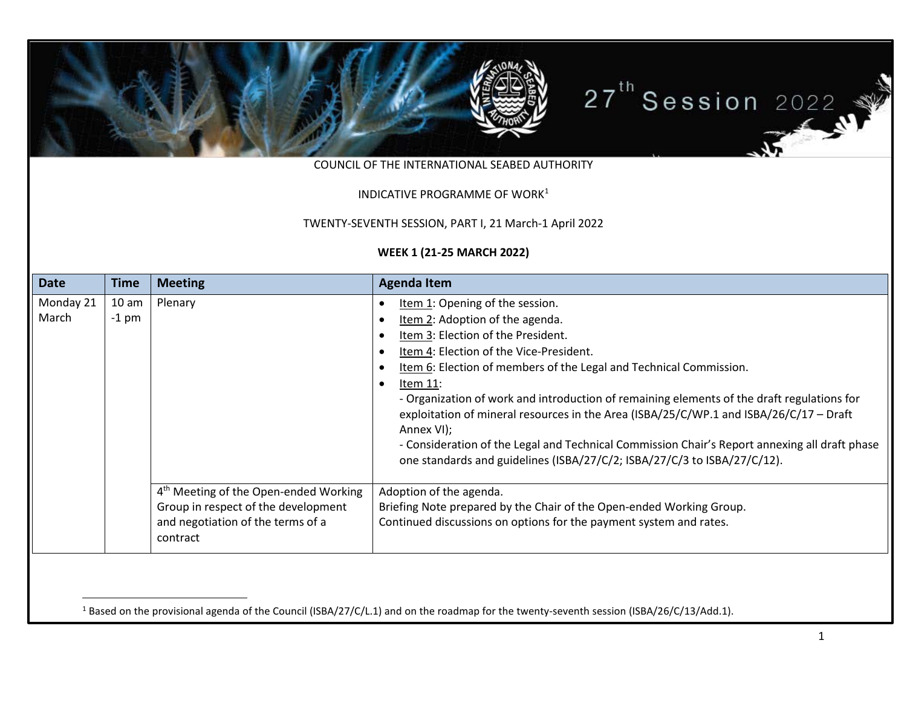

COUNCIL OF THE INTERNATIONAL SEABED AUTHORITY

## <span id="page-0-0"></span>INDICATIVE PROGRAMME OF WORK<sup>[1](#page-0-0)</sup>

TWENTY-SEVENTH SESSION, PART I, 21 March-1 April 2022

## **WEEK 1 (21-25 MARCH 2022)**

| <b>Date</b>        | <b>Time</b>                 | <b>Meeting</b>                                                                                                                            | <b>Agenda Item</b>                                                                                                                                                                                                                                                                                                                                                                                                                                                                                                                                                                                                                                                                                     |  |
|--------------------|-----------------------------|-------------------------------------------------------------------------------------------------------------------------------------------|--------------------------------------------------------------------------------------------------------------------------------------------------------------------------------------------------------------------------------------------------------------------------------------------------------------------------------------------------------------------------------------------------------------------------------------------------------------------------------------------------------------------------------------------------------------------------------------------------------------------------------------------------------------------------------------------------------|--|
| Monday 21<br>March | 10 <sub>am</sub><br>$-1$ pm | Plenary                                                                                                                                   | Item 1: Opening of the session.<br>$\bullet$<br>Item 2: Adoption of the agenda.<br>$\bullet$<br>Item 3: Election of the President.<br>$\bullet$<br>Item 4: Election of the Vice-President.<br>$\bullet$<br>Item 6: Election of members of the Legal and Technical Commission.<br>$\bullet$<br>Item 11:<br>$\bullet$<br>- Organization of work and introduction of remaining elements of the draft regulations for<br>exploitation of mineral resources in the Area (ISBA/25/C/WP.1 and ISBA/26/C/17 - Draft<br>Annex VI);<br>- Consideration of the Legal and Technical Commission Chair's Report annexing all draft phase<br>one standards and guidelines (ISBA/27/C/2; ISBA/27/C/3 to ISBA/27/C/12). |  |
|                    |                             | 4 <sup>th</sup> Meeting of the Open-ended Working<br>Group in respect of the development<br>and negotiation of the terms of a<br>contract | Adoption of the agenda.<br>Briefing Note prepared by the Chair of the Open-ended Working Group.<br>Continued discussions on options for the payment system and rates.                                                                                                                                                                                                                                                                                                                                                                                                                                                                                                                                  |  |

<sup>1</sup> Based on the provisional agenda of the Council (ISBA/27/C/L.1) and on the roadmap for the twenty-seventh session (ISBA/26/C/13/Add.1).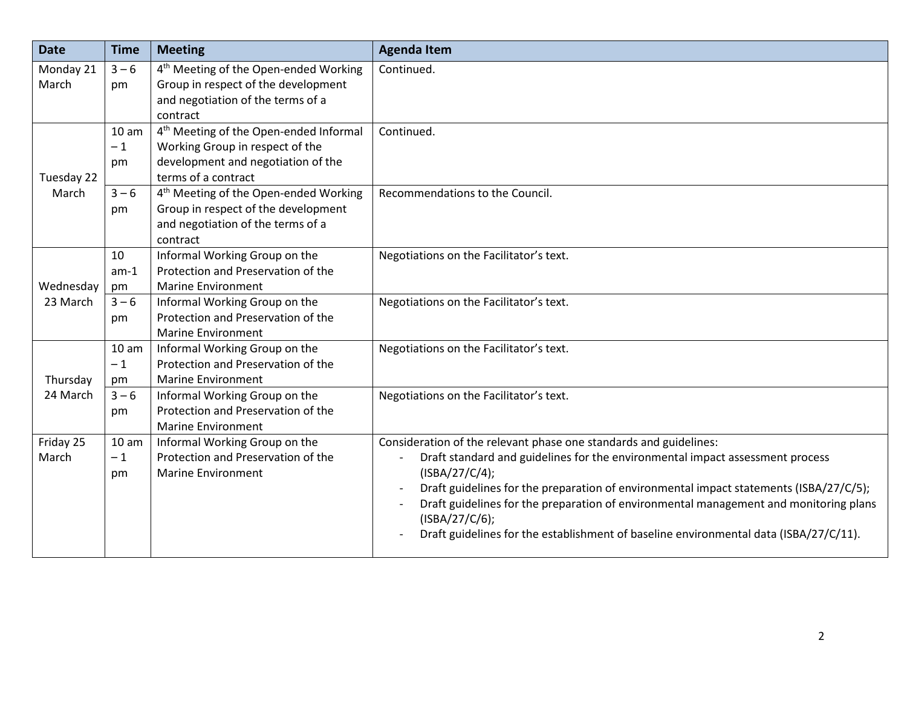| <b>Date</b>        | <b>Time</b>      | <b>Meeting</b>                                     | <b>Agenda Item</b>                                                                     |
|--------------------|------------------|----------------------------------------------------|----------------------------------------------------------------------------------------|
| Monday 21          | $3 - 6$          | 4 <sup>th</sup> Meeting of the Open-ended Working  | Continued.                                                                             |
| March              | pm               | Group in respect of the development                |                                                                                        |
|                    |                  | and negotiation of the terms of a                  |                                                                                        |
|                    |                  | contract                                           |                                                                                        |
|                    | 10 <sub>am</sub> | 4 <sup>th</sup> Meeting of the Open-ended Informal | Continued.                                                                             |
|                    | $-1$             | Working Group in respect of the                    |                                                                                        |
|                    | pm               | development and negotiation of the                 |                                                                                        |
| Tuesday 22         |                  | terms of a contract                                |                                                                                        |
| March              | $3 - 6$          | 4 <sup>th</sup> Meeting of the Open-ended Working  | Recommendations to the Council.                                                        |
|                    | pm               | Group in respect of the development                |                                                                                        |
|                    |                  | and negotiation of the terms of a                  |                                                                                        |
|                    |                  | contract                                           |                                                                                        |
| Wednesday          | 10               | Informal Working Group on the                      | Negotiations on the Facilitator's text.                                                |
|                    | $am-1$           | Protection and Preservation of the                 |                                                                                        |
|                    | pm               | <b>Marine Environment</b>                          |                                                                                        |
| 23 March           | $3 - 6$          | Informal Working Group on the                      | Negotiations on the Facilitator's text.                                                |
|                    | pm               | Protection and Preservation of the                 |                                                                                        |
|                    |                  | <b>Marine Environment</b>                          |                                                                                        |
|                    | 10 <sub>am</sub> | Informal Working Group on the                      | Negotiations on the Facilitator's text.                                                |
| Thursday           | $-1$             | Protection and Preservation of the                 |                                                                                        |
|                    | pm               | <b>Marine Environment</b>                          |                                                                                        |
| 24 March           | $3 - 6$          | Informal Working Group on the                      | Negotiations on the Facilitator's text.                                                |
|                    | pm               | Protection and Preservation of the                 |                                                                                        |
|                    |                  | <b>Marine Environment</b>                          |                                                                                        |
| Friday 25<br>March | 10 <sub>am</sub> | Informal Working Group on the                      | Consideration of the relevant phase one standards and guidelines:                      |
|                    | $-1$             | Protection and Preservation of the                 | Draft standard and guidelines for the environmental impact assessment process          |
|                    | pm               | <b>Marine Environment</b>                          | (ISBN/27/C/4);                                                                         |
|                    |                  |                                                    | Draft guidelines for the preparation of environmental impact statements (ISBA/27/C/5); |
|                    |                  |                                                    | Draft guidelines for the preparation of environmental management and monitoring plans  |
|                    |                  |                                                    | (ISBN/27/C/6);                                                                         |
|                    |                  |                                                    | Draft guidelines for the establishment of baseline environmental data (ISBA/27/C/11).  |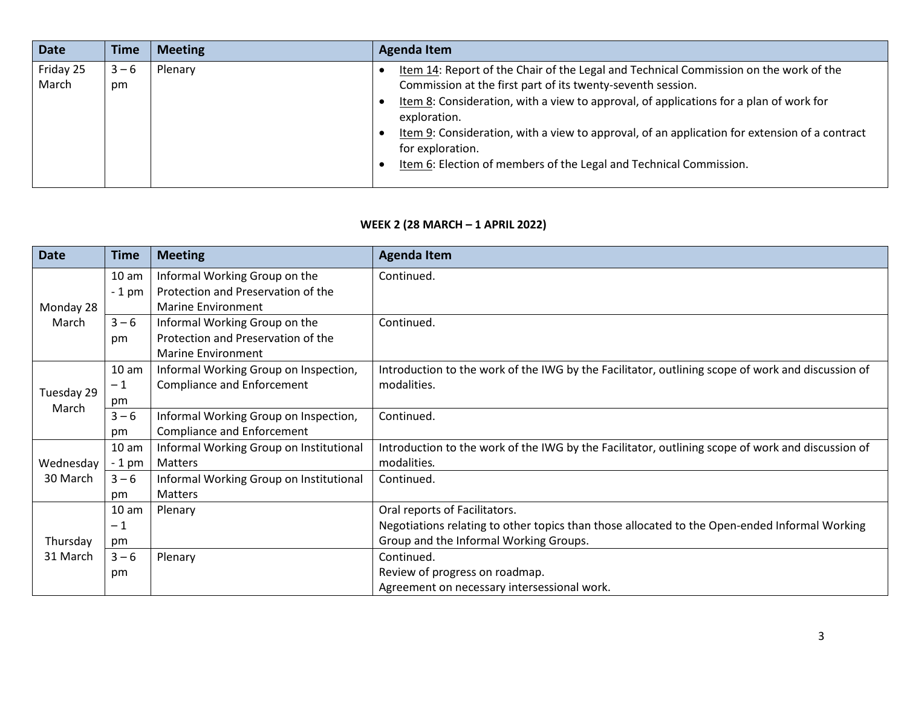| <b>Date</b>        | <b>Time</b>   | <b>Meeting</b> | Agenda Item                                                                                                                                                                                                                                                                                                                                                                                                                                               |
|--------------------|---------------|----------------|-----------------------------------------------------------------------------------------------------------------------------------------------------------------------------------------------------------------------------------------------------------------------------------------------------------------------------------------------------------------------------------------------------------------------------------------------------------|
| Friday 25<br>March | $3 - 6$<br>pm | Plenary        | Item 14: Report of the Chair of the Legal and Technical Commission on the work of the<br>Commission at the first part of its twenty-seventh session.<br>Item 8: Consideration, with a view to approval, of applications for a plan of work for<br>exploration.<br>Item 9: Consideration, with a view to approval, of an application for extension of a contract<br>for exploration.<br>Item 6: Election of members of the Legal and Technical Commission. |

## **WEEK 2 (28 MARCH – 1 APRIL 2022)**

| <b>Date</b>           | Time             | <b>Meeting</b>                          | <b>Agenda Item</b>                                                                                |
|-----------------------|------------------|-----------------------------------------|---------------------------------------------------------------------------------------------------|
|                       | 10 <sub>am</sub> | Informal Working Group on the           | Continued.                                                                                        |
|                       | $-1$ pm          | Protection and Preservation of the      |                                                                                                   |
| Monday 28             |                  | <b>Marine Environment</b>               |                                                                                                   |
| March                 | $3 - 6$          | Informal Working Group on the           | Continued.                                                                                        |
|                       | pm               | Protection and Preservation of the      |                                                                                                   |
|                       |                  | <b>Marine Environment</b>               |                                                                                                   |
|                       | 10 <sub>am</sub> | Informal Working Group on Inspection,   | Introduction to the work of the IWG by the Facilitator, outlining scope of work and discussion of |
| Tuesday 29<br>March   | $-1$             | <b>Compliance and Enforcement</b>       | modalities.                                                                                       |
|                       | pm               |                                         |                                                                                                   |
|                       | $3 - 6$          | Informal Working Group on Inspection,   | Continued.                                                                                        |
|                       | pm               | <b>Compliance and Enforcement</b>       |                                                                                                   |
| Wednesday<br>30 March | 10 <sub>am</sub> | Informal Working Group on Institutional | Introduction to the work of the IWG by the Facilitator, outlining scope of work and discussion of |
|                       | $-1$ pm          | <b>Matters</b>                          | modalities.                                                                                       |
|                       | $3 - 6$          | Informal Working Group on Institutional | Continued.                                                                                        |
|                       | pm               | Matters                                 |                                                                                                   |
| Thursday<br>31 March  | 10 <sub>am</sub> | Plenary                                 | Oral reports of Facilitators.                                                                     |
|                       | $-1$             |                                         | Negotiations relating to other topics than those allocated to the Open-ended Informal Working     |
|                       | pm               |                                         | Group and the Informal Working Groups.                                                            |
|                       | $3 - 6$          | Plenary                                 | Continued.                                                                                        |
|                       | pm               |                                         | Review of progress on roadmap.                                                                    |
|                       |                  |                                         | Agreement on necessary intersessional work.                                                       |